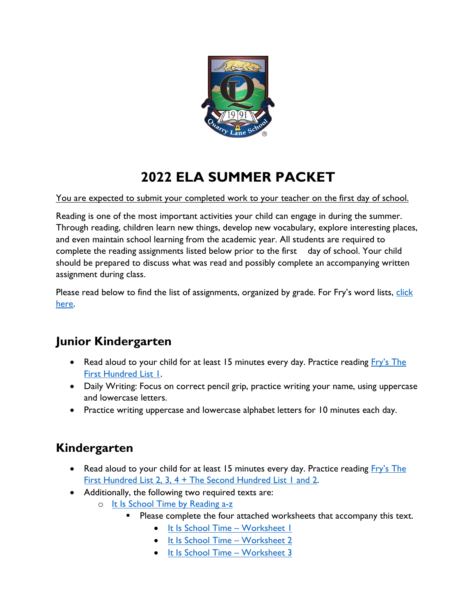

# **2022 ELA SUMMER PACKET**

You are expected to submit your completed work to your teacher on the first day of school.

Reading is one of the most important activities your child can engage in during the summer. Through reading, children learn new things, develop new vocabulary, explore interesting places, and even maintain school learning from the academic year. All students are required to complete the reading assignments listed below prior to the first day of school. Your child should be prepared to discuss what was read and possibly complete an accompanying written assignment during class.

Please read below to find the list of assignments, organized by grade. For Fry's word lists, click [here.](https://www.quarrylane.org/uploaded/eNofity_Attachments/fry_complete_1000.pdf?1559243121498)

## **Junior Kindergarten**

- Read aloud to your child for at least 15 minutes every day. Practice reading *Fry's* The [First Hundred List 1.](https://www.quarrylane.org/uploaded/eNofity_Attachments/fry_complete_1000.pdf?1559243121498)
- Daily Writing: Focus on correct pencil grip, practice writing your name, using uppercase and lowercase letters.
- Practice writing uppercase and lowercase alphabet letters for 10 minutes each day.

## **Kindergarten**

- Read aloud to your child for at least 15 minutes every day. Practice reading [Fry's The](https://www.quarrylane.org/uploaded/eNofity_Attachments/fry_complete_1000.pdf?1559243121498) [First Hundred List 2, 3, 4 + The Second Hundred List 1 and 2.](https://www.quarrylane.org/uploaded/eNofity_Attachments/fry_complete_1000.pdf?1559243121498)
- Additionally, the following two required texts are:
	- o [It Is School Time by Reading a-z](https://www.quarrylane.org/uploaded/eNofity_Attachments/It_Is_School_Time_Kindergarten.pdf?1559243457782)
		- Please complete the four attached worksheets that accompany this text.
			- [It Is School Time Worksheet 1](https://www.quarrylane.org/uploaded/eNofity_Attachments/It_Is_School_Time_1.pdf?1559243816129)
			- [It Is School Time Worksheet 2](https://www.quarrylane.org/uploaded/eNofity_Attachments/It_Is_School_Time_2.pdf?1559243844486)
			- [It Is School Time Worksheet 3](https://www.quarrylane.org/uploaded/eNofity_Attachments/It_Is_School_Time_3.pdf?1559243865113)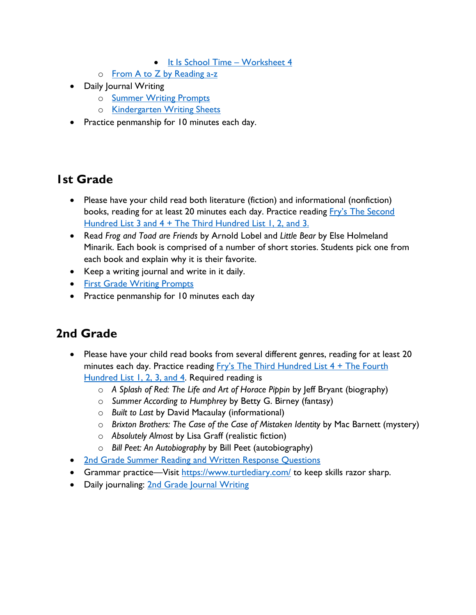- [It Is School Time Worksheet 4](https://www.quarrylane.org/uploaded/eNofity_Attachments/It_Is_School_Time_4.pdf?1559243881208)
- o [From A to Z by Reading a-z](https://www.quarrylane.org/uploaded/eNofity_Attachments/From_A_to_Z_Kindergarten.pdf?1559243937890)
- Daily Journal Writing
	- o [Summer Writing Prompts](https://www.quarrylane.org/uploaded/LowerSchool/Summer_Reading_2012-2013/Kindergarten_Summer_Writing_Prompts.pdf?1590643821413)
	- o [Kindergarten Writing Sheets](https://www.quarrylane.org/uploaded/LowerSchool/Summer_Reading_2012-2013/Kindergarten_Line_Sheets.pdf?1590643774094)
- Practice penmanship for 10 minutes each day.

#### **1st Grade**

- Please have your child read both literature (fiction) and informational (nonfiction) books, reading for at least 20 minutes each day. Practice reading *Fry's The Second* [Hundred List 3 and 4 + The Third Hundred List 1, 2, and 3.](https://www.quarrylane.org/uploaded/eNofity_Attachments/fry_complete_1000.pdf?1559243121498)
- Read *Frog and Toad are Friends* by Arnold Lobel and *Little Bear* by Else Holmeland Minarik. Each book is comprised of a number of short stories. Students pick one from each book and explain why it is their favorite.
- Keep a writing journal and write in it daily.
- [First Grade Writing Prompts](https://www.quarrylane.org/uploaded/LowerSchool/Summer_Reading_2012-2013/1st_Grade_Journal_Prompts.pdf?1590643550463)
- Practice penmanship for 10 minutes each day

## **2nd Grade**

- Please have your child read books from several different genres, reading for at least 20 minutes each day. Practice reading  $Fry's$  The Third Hundred List  $4 +$  The Fourth [Hundred List 1, 2, 3, and 4.](https://www.quarrylane.org/uploaded/eNofity_Attachments/fry_complete_1000.pdf?1559243121498) Required reading is
	- o *A Splash of Red: The Life and Art of Horace Pippin* by Jeff Bryant (biography)
	- o *Summer According to Humphrey* by Betty G. Birney (fantasy)
	- o *Built to Last* by David Macaulay (informational)
	- o *Brixton Brothers: The Case of the Case of Mistaken Identity* by Mac Barnett (mystery)
	- o *Absolutely Almost* by Lisa Graff (realistic fiction)
	- o *Bill Peet: An Autobiography* by Bill Peet (autobiography)
- [2nd Grade Summer Reading and Written Response Questions](https://www.quarrylane.org/uploaded/LowerSchool/Summer_Reading_2012-2013/2nd_Grade_Summer_Reading_with_Written_Response_Questions.pdf?1590643644806)
- Grammar practice—Visit<https://www.turtlediary.com/> to keep skills razor sharp.
- Daily journaling: [2nd Grade Journal Writing](https://www.quarrylane.org/uploaded/LowerSchool/Summer_Reading_2012-2013/2nd_Grade_Summer_Journal_Writing.pdf?1590643605166)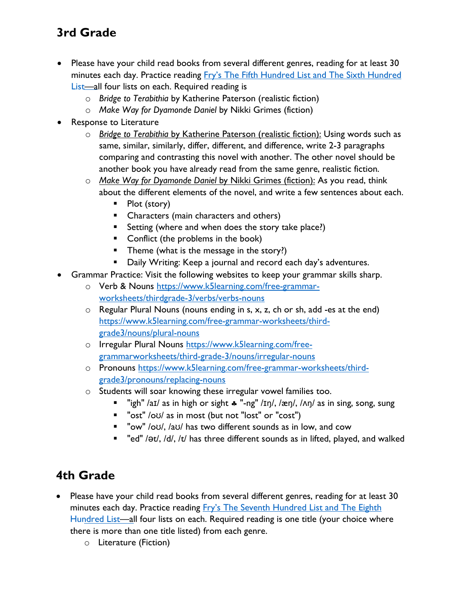## **3rd Grade**

- Please have your child read books from several different genres, reading for at least 30 minutes each day. Practice reading Fr[y's The Fifth Hundred List and The Sixth Hundred](https://www.quarrylane.org/uploaded/eNofity_Attachments/fry_complete_1000.pdf?1559243121498) [List—al](https://www.quarrylane.org/uploaded/eNofity_Attachments/fry_complete_1000.pdf?1559243121498)l four lists on each. Required reading is
	- o *Bridge to Terabithia* by Katherine Paterson (realistic fiction)
	- o *Make Way for Dyamonde Daniel* by Nikki Grimes (fiction)
- Response to Literature
	- o *Bridge to Terabithia* by Katherine Paterson (realistic fiction): Using words such as same, similar, similarly, differ, different, and difference, write 2-3 paragraphs comparing and contrasting this novel with another. The other novel should be another book you have already read from the same genre, realistic fiction.
	- o *Make Way for Dyamonde Daniel* by Nikki Grimes (fiction): As you read, think about the different elements of the novel, and write a few sentences about each.
		- $\blacksquare$  Plot (story)
		- Characters (main characters and others)
		- Setting (where and when does the story take place?)
		- Conflict (the problems in the book)
		- **Theme (what is the message in the story?)**
		- **Daily Writing: Keep a journal and record each day's adventures.**
- Grammar Practice: Visit the following websites to keep your grammar skills sharp.
	- o Verb & Nouns htt[ps://www.k5learning.com/free-grammar](https://www.k5learning.com/free-grammar-worksheets/thirdgrade-3/verbs/verbs-nouns)[worksheets/thirdgrade-3/verbs/verbs-nouns](https://www.k5learning.com/free-grammar-worksheets/thirdgrade-3/verbs/verbs-nouns)
	- $\circ$  Regular Plural Nouns (nouns ending in s, x, z, ch or sh, add -es at the end) htt[ps://www.k5learning.com/free-grammar-worksheets/third](https://www.k5learning.com/free-grammar-worksheets/third-grade3/nouns/plural-nouns)[grade3/nouns/plural-nouns](https://www.k5learning.com/free-grammar-worksheets/third-grade3/nouns/plural-nouns)
	- o Irregular Plural Nouns ht[tps://www.k5learning.com/free](https://www.k5learning.com/free-grammarworksheets/third-grade-3/nouns/irregular-nouns)[grammarworksheets/third-grade-3/nouns/irregular-nouns](https://www.k5learning.com/free-grammarworksheets/third-grade-3/nouns/irregular-nouns)
	- o Pronouns htt[ps://www.k5learning.com/free-grammar-worksheets/third](https://www.k5learning.com/free-grammar-worksheets/third-grade3/pronouns/replacing-nouns)[grade3/pronouns/replacing-nouns](https://www.k5learning.com/free-grammar-worksheets/third-grade3/pronouns/replacing-nouns)
	- o Students will soar knowing these irregular vowel families too.
		- " "igh" /aɪ/ as in high or sight  $\ast$  "-ng" /ɪη/, /æη/, /ʌη/ as in sing, song, sung
		- "ost" /oʊ/ as in most (but not "lost" or "cost")
		- "ow" /oʊ/, /aʊ/ has two different sounds as in low, and cow
		- " "ed" /ət/, /d/, /t/ has three different sounds as in lifted, played, and walked

#### **4th Grade**

- Please have your child read books from several different genres, reading for at least 30 minutes each day. Practice reading Fr[y's The Seventh Hundred List and The Eighth](https://www.quarrylane.org/uploaded/eNofity_Attachments/fry_complete_1000.pdf?1559243121498) [Hundred List—al](https://www.quarrylane.org/uploaded/eNofity_Attachments/fry_complete_1000.pdf?1559243121498)l four lists on each. Required reading is one title (your choice where there is more than one title listed) from each genre.
	- o Literature (Fiction)